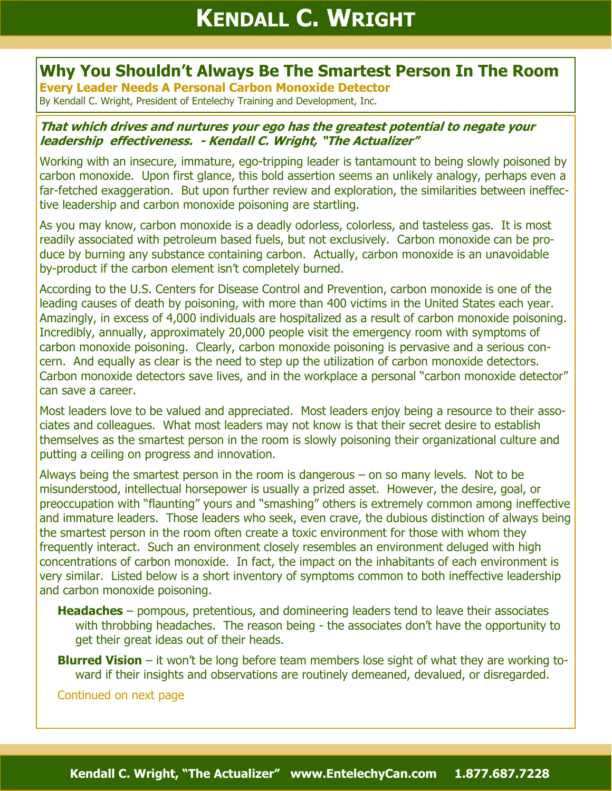## **Why You Shouldn't Always Be The Smartest Person In The Room**

**Every Leader Needs A Personal Carbon Monoxide Detector**

## By Kendall C. Wright, President of Entelechy Training and Development, Inc.

## **That which drives and nurtures your ego has the greatest potential to negate your leadership effectiveness. - Kendall C. Wright, "The Actualizer"**

Working with an insecure, immature, ego-tripping leader is tantamount to being slowly poisoned by carbon monoxide. Upon first glance, this bold assertion seems an unlikely analogy, perhaps even a far-fetched exaggeration. But upon further review and exploration, the similarities between ineffective leadership and carbon monoxide poisoning are startling.

As you may know, carbon monoxide is a deadly odorless, colorless, and tasteless gas. It is most readily associated with petroleum based fuels, but not exclusively. Carbon monoxide can be produce by burning any substance containing carbon. Actually, carbon monoxide is an unavoidable by-product if the carbon element isn't completely burned.

According to the U.S. Centers for Disease Control and Prevention, carbon monoxide is one of the leading causes of death by poisoning, with more than 400 victims in the United States each year. Amazingly, in excess of 4,000 individuals are hospitalized as a result of carbon monoxide poisoning. Incredibly, annually, approximately 20,000 people visit the emergency room with symptoms of carbon monoxide poisoning. Clearly, carbon monoxide poisoning is pervasive and a serious concern. And equally as clear is the need to step up the utilization of carbon monoxide detectors. Carbon monoxide detectors save lives, and in the workplace a personal "carbon monoxide detector" can save a career.

Most leaders love to be valued and appreciated. Most leaders enjoy being a resource to their associates and colleagues. What most leaders may not know is that their secret desire to establish themselves as the smartest person in the room is slowly poisoning their organizational culture and putting a ceiling on progress and innovation.

Always being the smartest person in the room is dangerous – on so many levels. Not to be misunderstood, intellectual horsepower is usually a prized asset. However, the desire, goal, or preoccupation with "flaunting" yours and "smashing" others is extremely common among ineffective and immature leaders. Those leaders who seek, even crave, the dubious distinction of always being the smartest person in the room often create a toxic environment for those with whom they frequently interact. Such an environment closely resembles an environment deluged with high concentrations of carbon monoxide. In fact, the impact on the inhabitants of each environment is very similar. Listed below is a short inventory of symptoms common to both ineffective leadership and carbon monoxide poisoning.

- **Headaches** pompous, pretentious, and domineering leaders tend to leave their associates with throbbing headaches. The reason being - the associates don't have the opportunity to get their great ideas out of their heads.
- **Blurred Vision** it won't be long before team members lose sight of what they are working toward if their insights and observations are routinely demeaned, devalued, or disregarded.

Continued on next page